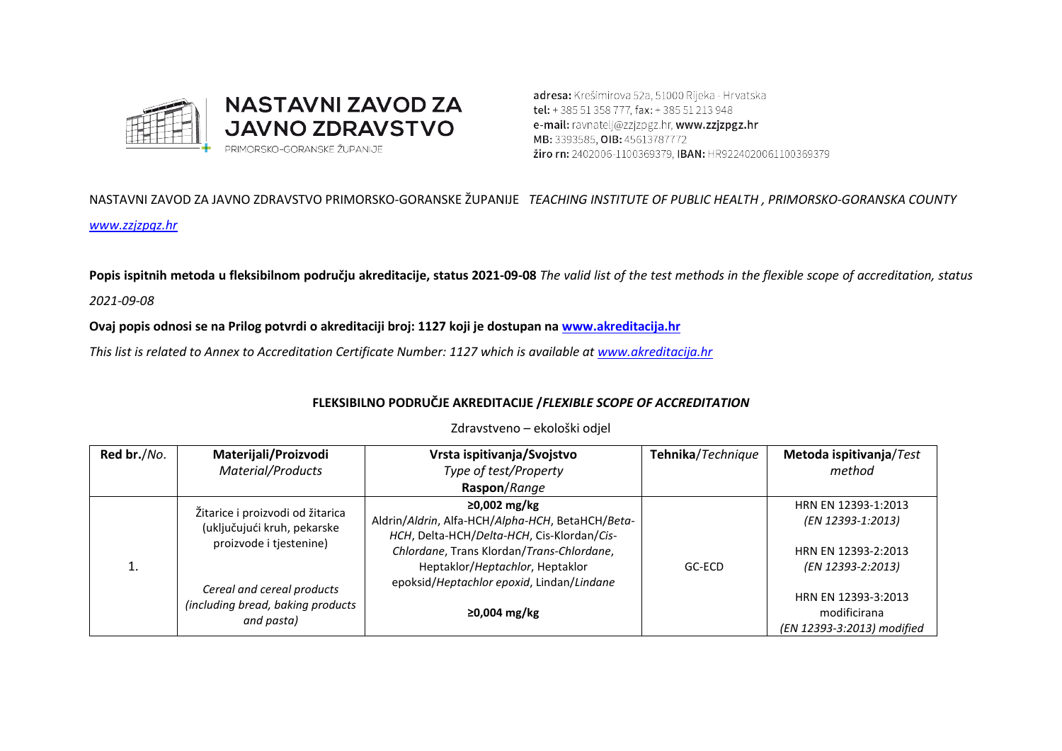

adresa: Krešimirova 52a, 51000 Rijeka - Hrvatska tel: +385 51 358 777, fax: +385 51 213 948 e-mail: ravnatelj@zzjzpgz.hr, www.zzjzpgz.hr MB: 3393585, OIB: 45613787772 *žiro rn: 2402006-1100369379*, IBAN: HR9224020061100369379

NASTAVNI ZAVOD ZA JAVNO ZDRAVSTVO PRIMORSKO-GORANSKE ŽUPANIJE *TEACHING INSTITUTE OF PUBLIC HEALTH , PRIMORSKO-GORANSKA COUNTY [www.zzjzpgz.hr](http://www.zzjzpgz.hr/)*

**Popis ispitnih metoda u fleksibilnom području akreditacije, status 2021-09-08** *The valid list of the test methods in the flexible scope of accreditation, status* 

*2021-09-08*

**Ovaj popis odnosi se na Prilog potvrdi o akreditaciji broj: 1127 koji je dostupan na [www.akreditacija.hr](http://www.akreditacija.hr/)**

*This list is related to Annex to Accreditation Certificate Number: 1127 which is available a[t www.akreditacija.hr](http://www.akreditacija.hr/)*

## **FLEKSIBILNO PODRUČJE AKREDITACIJE /***FLEXIBLE SCOPE OF ACCREDITATION*

| Red br./No. | Materijali/Proizvodi                                                                       | Vrsta ispitivanja/Svojstvo                                                                                                                                                                     | Tehnika/Technique | Metoda ispitivanja/Test                                                              |
|-------------|--------------------------------------------------------------------------------------------|------------------------------------------------------------------------------------------------------------------------------------------------------------------------------------------------|-------------------|--------------------------------------------------------------------------------------|
|             | Material/Products                                                                          | Type of test/Property                                                                                                                                                                          |                   | method                                                                               |
|             |                                                                                            | Raspon/Range                                                                                                                                                                                   |                   |                                                                                      |
|             | Žitarice i proizvodi od žitarica<br>(uključujući kruh, pekarske<br>proizvode i tjestenine) | ≥0,002 mg/kg<br>Aldrin/Aldrin, Alfa-HCH/Alpha-HCH, BetaHCH/Beta-<br>HCH, Delta-HCH/Delta-HCH, Cis-Klordan/Cis-<br>Chlordane, Trans Klordan/Trans-Chlordane,<br>Heptaklor/Heptachlor, Heptaklor | GC-ECD            | HRN EN 12393-1:2013<br>(EN 12393-1:2013)<br>HRN EN 12393-2:2013<br>(EN 12393-2:2013) |
|             | Cereal and cereal products<br>(including bread, baking products<br>and pasta)              | epoksid/Heptachlor epoxid, Lindan/Lindane<br>$≥0,004$ mg/kg                                                                                                                                    |                   | HRN EN 12393-3:2013<br>modificirana<br>(EN 12393-3:2013) modified                    |

Zdravstveno – ekološki odjel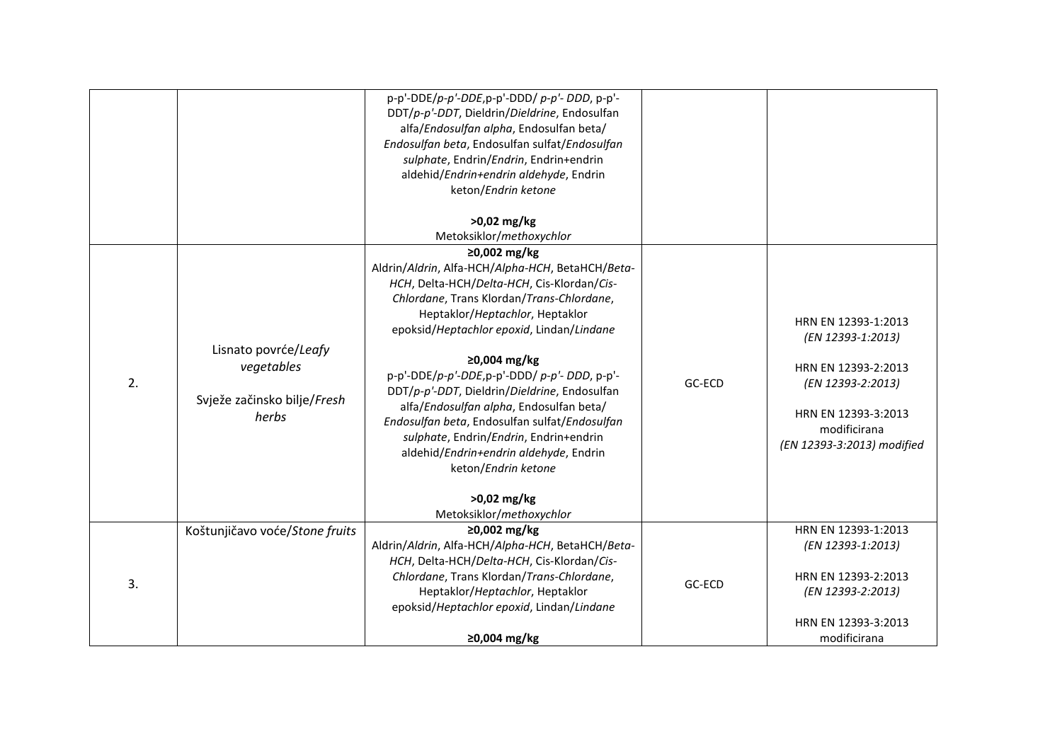|    |                                                                            | $p-p'-DDE/p-p'-DDE$ , $p-p'-DDD/p-p'-DDD$ , $p-p'-D$<br>DDT/p-p'-DDT, Dieldrin/Dieldrine, Endosulfan<br>alfa/Endosulfan alpha, Endosulfan beta/<br>Endosulfan beta, Endosulfan sulfat/Endosulfan<br>sulphate, Endrin/Endrin, Endrin+endrin<br>aldehid/Endrin+endrin aldehyde, Endrin<br>keton/Endrin ketone<br>>0,02 mg/kg                                                                                                                                                                                                                                                                                              |        |                                                                                                                                                           |
|----|----------------------------------------------------------------------------|-------------------------------------------------------------------------------------------------------------------------------------------------------------------------------------------------------------------------------------------------------------------------------------------------------------------------------------------------------------------------------------------------------------------------------------------------------------------------------------------------------------------------------------------------------------------------------------------------------------------------|--------|-----------------------------------------------------------------------------------------------------------------------------------------------------------|
|    |                                                                            | Metoksiklor/methoxychlor                                                                                                                                                                                                                                                                                                                                                                                                                                                                                                                                                                                                |        |                                                                                                                                                           |
| 2. | Lisnato povrće/Leafy<br>vegetables<br>Svježe začinsko bilje/Fresh<br>herbs | ≥0,002 mg/kg<br>Aldrin/Aldrin, Alfa-HCH/Alpha-HCH, BetaHCH/Beta-<br>HCH, Delta-HCH/Delta-HCH, Cis-Klordan/Cis-<br>Chlordane, Trans Klordan/Trans-Chlordane,<br>Heptaklor/Heptachlor, Heptaklor<br>epoksid/Heptachlor epoxid, Lindan/Lindane<br>≥0,004 mg/kg<br>$p-p'-DDE/p-p'-DDE$ , $p-p'-DDD/p-p'-DDD$ , $p-p'-D$<br>DDT/p-p'-DDT, Dieldrin/Dieldrine, Endosulfan<br>alfa/Endosulfan alpha, Endosulfan beta/<br>Endosulfan beta, Endosulfan sulfat/Endosulfan<br>sulphate, Endrin/Endrin, Endrin+endrin<br>aldehid/Endrin+endrin aldehyde, Endrin<br>keton/Endrin ketone<br>$>0.02$ mg/kg<br>Metoksiklor/methoxychlor | GC-ECD | HRN EN 12393-1:2013<br>(EN 12393-1:2013)<br>HRN EN 12393-2:2013<br>(EN 12393-2:2013)<br>HRN EN 12393-3:2013<br>modificirana<br>(EN 12393-3:2013) modified |
| 3. | Koštunjičavo voće/Stone fruits                                             | ≥0,002 mg/kg<br>Aldrin/Aldrin, Alfa-HCH/Alpha-HCH, BetaHCH/Beta-<br>HCH, Delta-HCH/Delta-HCH, Cis-Klordan/Cis-<br>Chlordane, Trans Klordan/Trans-Chlordane,<br>Heptaklor/Heptachlor, Heptaklor<br>epoksid/Heptachlor epoxid, Lindan/Lindane                                                                                                                                                                                                                                                                                                                                                                             | GC-ECD | HRN EN 12393-1:2013<br>(EN 12393-1:2013)<br>HRN EN 12393-2:2013<br>(EN 12393-2:2013)<br>HRN EN 12393-3:2013                                               |
|    |                                                                            | ≥0,004 mg/kg                                                                                                                                                                                                                                                                                                                                                                                                                                                                                                                                                                                                            |        | modificirana                                                                                                                                              |